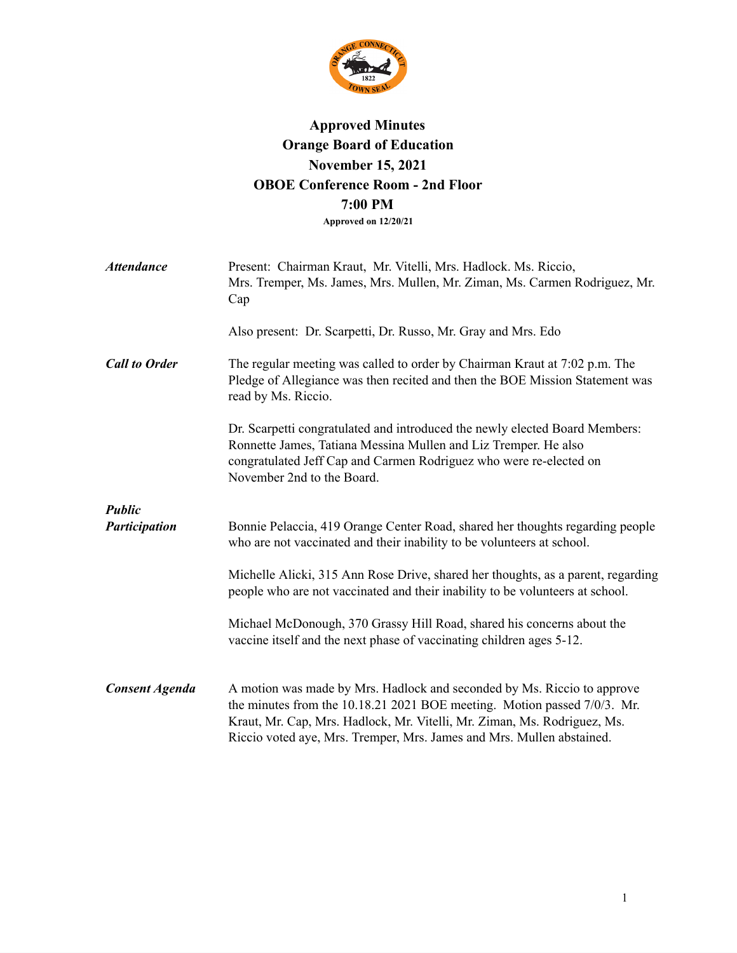

## **Approved Minutes Orange Board of Education November 15, 2021 OBOE Conference Room - 2nd Floor 7:00 PM Approved on 12/20/21**

| <b>Attendance</b>                     | Present: Chairman Kraut, Mr. Vitelli, Mrs. Hadlock. Ms. Riccio,<br>Mrs. Tremper, Ms. James, Mrs. Mullen, Mr. Ziman, Ms. Carmen Rodriguez, Mr.<br>Cap                                                                                                                                                     |
|---------------------------------------|----------------------------------------------------------------------------------------------------------------------------------------------------------------------------------------------------------------------------------------------------------------------------------------------------------|
|                                       | Also present: Dr. Scarpetti, Dr. Russo, Mr. Gray and Mrs. Edo                                                                                                                                                                                                                                            |
| <b>Call to Order</b>                  | The regular meeting was called to order by Chairman Kraut at 7:02 p.m. The<br>Pledge of Allegiance was then recited and then the BOE Mission Statement was<br>read by Ms. Riccio.                                                                                                                        |
|                                       | Dr. Scarpetti congratulated and introduced the newly elected Board Members:<br>Ronnette James, Tatiana Messina Mullen and Liz Tremper. He also<br>congratulated Jeff Cap and Carmen Rodriguez who were re-elected on<br>November 2nd to the Board.                                                       |
| <b>Public</b><br><b>Participation</b> | Bonnie Pelaccia, 419 Orange Center Road, shared her thoughts regarding people<br>who are not vaccinated and their inability to be volunteers at school.                                                                                                                                                  |
|                                       | Michelle Alicki, 315 Ann Rose Drive, shared her thoughts, as a parent, regarding<br>people who are not vaccinated and their inability to be volunteers at school.                                                                                                                                        |
|                                       | Michael McDonough, 370 Grassy Hill Road, shared his concerns about the<br>vaccine itself and the next phase of vaccinating children ages 5-12.                                                                                                                                                           |
| <b>Consent Agenda</b>                 | A motion was made by Mrs. Hadlock and seconded by Ms. Riccio to approve<br>the minutes from the 10.18.21 2021 BOE meeting. Motion passed 7/0/3. Mr.<br>Kraut, Mr. Cap, Mrs. Hadlock, Mr. Vitelli, Mr. Ziman, Ms. Rodriguez, Ms.<br>Riccio voted aye, Mrs. Tremper, Mrs. James and Mrs. Mullen abstained. |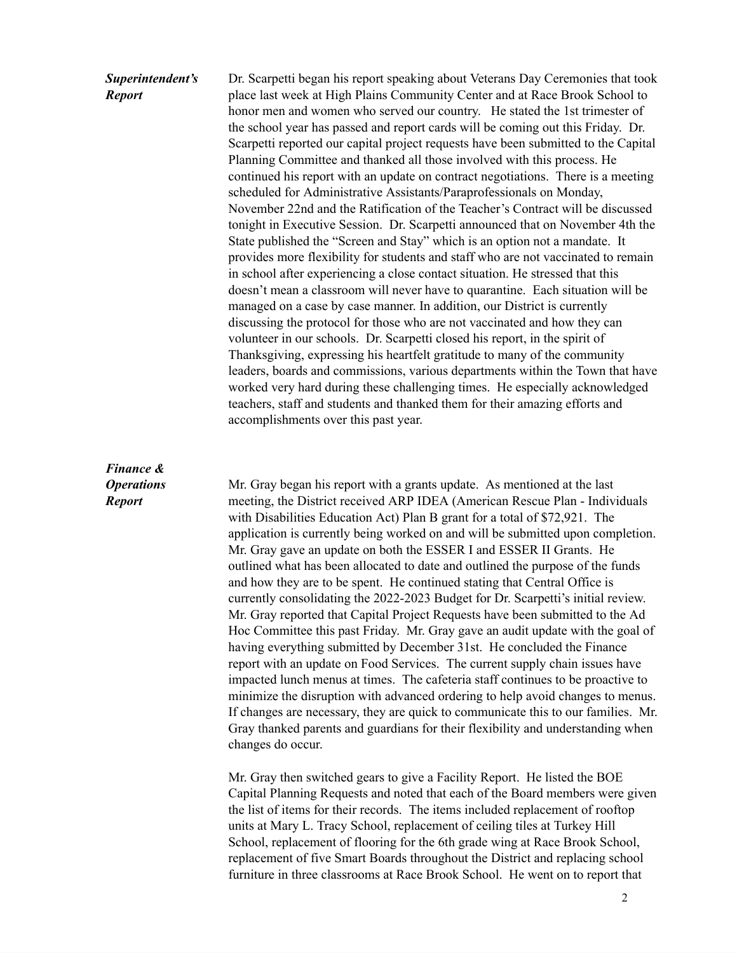# *Superintendent's*

#### *Report*

Dr. Scarpetti began his report speaking about Veterans Day Ceremonies that took place last week at High Plains Community Center and at Race Brook School to honor men and women who served our country. He stated the 1st trimester of the school year has passed and report cards will be coming out this Friday. Dr. Scarpetti reported our capital project requests have been submitted to the Capital Planning Committee and thanked all those involved with this process. He continued his report with an update on contract negotiations. There is a meeting scheduled for Administrative Assistants/Paraprofessionals on Monday, November 22nd and the Ratification of the Teacher's Contract will be discussed tonight in Executive Session. Dr. Scarpetti announced that on November 4th the State published the "Screen and Stay" which is an option not a mandate. It provides more flexibility for students and staff who are not vaccinated to remain in school after experiencing a close contact situation. He stressed that this doesn't mean a classroom will never have to quarantine. Each situation will be managed on a case by case manner. In addition, our District is currently discussing the protocol for those who are not vaccinated and how they can volunteer in our schools. Dr. Scarpetti closed his report, in the spirit of Thanksgiving, expressing his heartfelt gratitude to many of the community leaders, boards and commissions, various departments within the Town that have worked very hard during these challenging times. He especially acknowledged teachers, staff and students and thanked them for their amazing efforts and accomplishments over this past year.

#### *Finance & Operations Report*

Mr. Gray began his report with a grants update. As mentioned at the last meeting, the District received ARP IDEA (American Rescue Plan - Individuals with Disabilities Education Act) Plan B grant for a total of \$72,921. The application is currently being worked on and will be submitted upon completion. Mr. Gray gave an update on both the ESSER I and ESSER II Grants. He outlined what has been allocated to date and outlined the purpose of the funds and how they are to be spent. He continued stating that Central Office is currently consolidating the 2022-2023 Budget for Dr. Scarpetti's initial review. Mr. Gray reported that Capital Project Requests have been submitted to the Ad Hoc Committee this past Friday. Mr. Gray gave an audit update with the goal of having everything submitted by December 31st. He concluded the Finance report with an update on Food Services. The current supply chain issues have impacted lunch menus at times. The cafeteria staff continues to be proactive to minimize the disruption with advanced ordering to help avoid changes to menus. If changes are necessary, they are quick to communicate this to our families. Mr. Gray thanked parents and guardians for their flexibility and understanding when changes do occur.

Mr. Gray then switched gears to give a Facility Report. He listed the BOE Capital Planning Requests and noted that each of the Board members were given the list of items for their records. The items included replacement of rooftop units at Mary L. Tracy School, replacement of ceiling tiles at Turkey Hill School, replacement of flooring for the 6th grade wing at Race Brook School, replacement of five Smart Boards throughout the District and replacing school furniture in three classrooms at Race Brook School. He went on to report that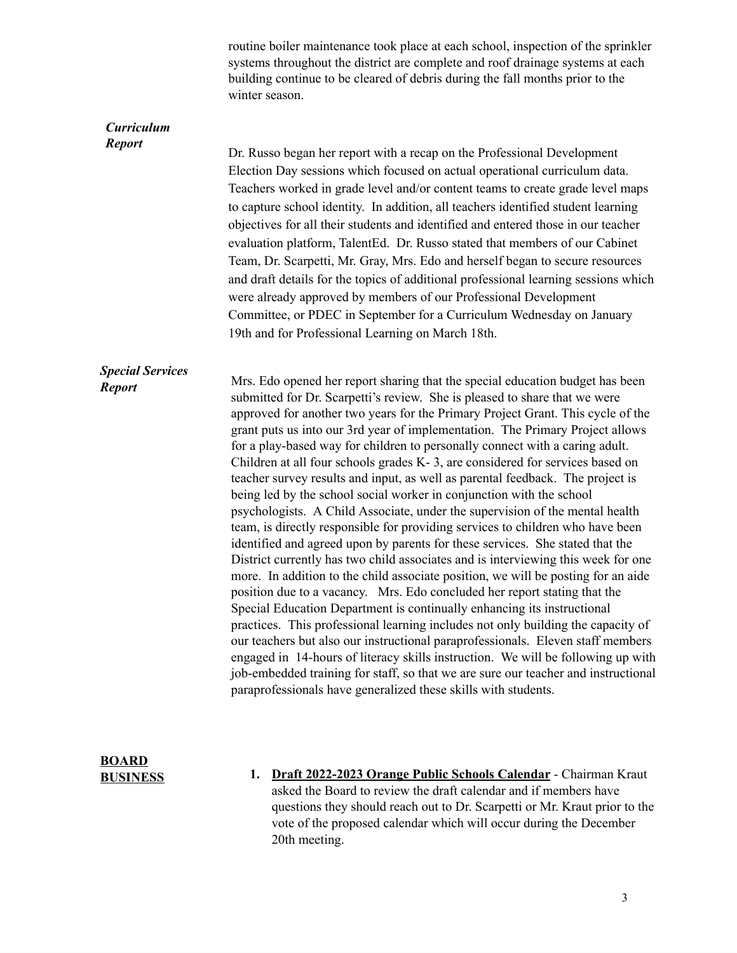|                                          | routine boiler maintenance took place at each school, inspection of the sprinkler<br>systems throughout the district are complete and roof drainage systems at each<br>building continue to be cleared of debris during the fall months prior to the<br>winter season.                                                                                                                                                                                                                                                                                                                                                                                                                                                                                                                                                                                                                                                                                                                                                                                                                                                                                                                                                                                                                                                                                                                                                                                                                                                                                                                                                                                             |
|------------------------------------------|--------------------------------------------------------------------------------------------------------------------------------------------------------------------------------------------------------------------------------------------------------------------------------------------------------------------------------------------------------------------------------------------------------------------------------------------------------------------------------------------------------------------------------------------------------------------------------------------------------------------------------------------------------------------------------------------------------------------------------------------------------------------------------------------------------------------------------------------------------------------------------------------------------------------------------------------------------------------------------------------------------------------------------------------------------------------------------------------------------------------------------------------------------------------------------------------------------------------------------------------------------------------------------------------------------------------------------------------------------------------------------------------------------------------------------------------------------------------------------------------------------------------------------------------------------------------------------------------------------------------------------------------------------------------|
| <b>Curriculum</b><br><b>Report</b>       | Dr. Russo began her report with a recap on the Professional Development<br>Election Day sessions which focused on actual operational curriculum data.<br>Teachers worked in grade level and/or content teams to create grade level maps<br>to capture school identity. In addition, all teachers identified student learning<br>objectives for all their students and identified and entered those in our teacher<br>evaluation platform, TalentEd. Dr. Russo stated that members of our Cabinet<br>Team, Dr. Scarpetti, Mr. Gray, Mrs. Edo and herself began to secure resources<br>and draft details for the topics of additional professional learning sessions which<br>were already approved by members of our Professional Development<br>Committee, or PDEC in September for a Curriculum Wednesday on January<br>19th and for Professional Learning on March 18th.                                                                                                                                                                                                                                                                                                                                                                                                                                                                                                                                                                                                                                                                                                                                                                                         |
| <b>Special Services</b><br><b>Report</b> | Mrs. Edo opened her report sharing that the special education budget has been<br>submitted for Dr. Scarpetti's review. She is pleased to share that we were<br>approved for another two years for the Primary Project Grant. This cycle of the<br>grant puts us into our 3rd year of implementation. The Primary Project allows<br>for a play-based way for children to personally connect with a caring adult.<br>Children at all four schools grades K-3, are considered for services based on<br>teacher survey results and input, as well as parental feedback. The project is<br>being led by the school social worker in conjunction with the school<br>psychologists. A Child Associate, under the supervision of the mental health<br>team, is directly responsible for providing services to children who have been<br>identified and agreed upon by parents for these services. She stated that the<br>District currently has two child associates and is interviewing this week for one<br>more. In addition to the child associate position, we will be posting for an aide<br>position due to a vacancy. Mrs. Edo concluded her report stating that the<br>Special Education Department is continually enhancing its instructional<br>practices. This professional learning includes not only building the capacity of<br>our teachers but also our instructional paraprofessionals. Eleven staff members<br>engaged in 14-hours of literacy skills instruction. We will be following up with<br>job-embedded training for staff, so that we are sure our teacher and instructional<br>paraprofessionals have generalized these skills with students. |

- **BOARD BUSINESS**
- **1. Draft 2022-2023 Orange Public Schools Calendar** Chairman Kraut asked the Board to review the draft calendar and if members have questions they should reach out to Dr. Scarpetti or Mr. Kraut prior to the vote of the proposed calendar which will occur during the December 20th meeting.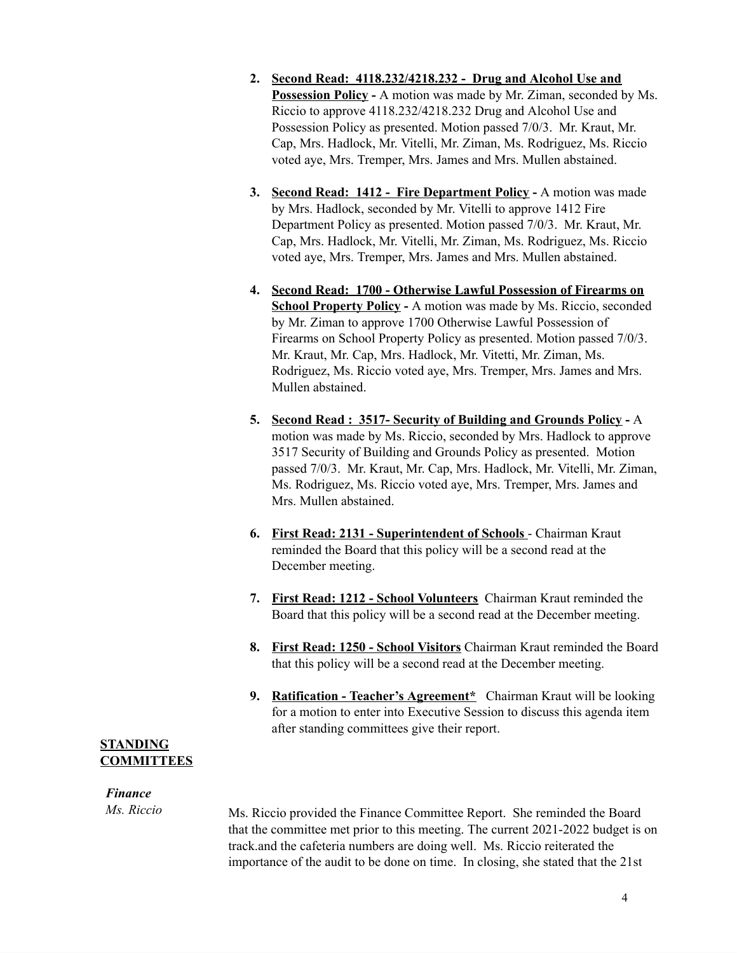- **2. Second Read: 4118.232/4218.232 - Drug and Alcohol Use and Possession Policy -** A motion was made by Mr. Ziman, seconded by Ms. Riccio to approve 4118.232/4218.232 Drug and Alcohol Use and Possession Policy as presented. Motion passed 7/0/3. Mr. Kraut, Mr. Cap, Mrs. Hadlock, Mr. Vitelli, Mr. Ziman, Ms. Rodriguez, Ms. Riccio voted aye, Mrs. Tremper, Mrs. James and Mrs. Mullen abstained.
- **3. Second Read: 1412 - Fire Department Policy -** A motion was made by Mrs. Hadlock, seconded by Mr. Vitelli to approve 1412 Fire Department Policy as presented. Motion passed 7/0/3. Mr. Kraut, Mr. Cap, Mrs. Hadlock, Mr. Vitelli, Mr. Ziman, Ms. Rodriguez, Ms. Riccio voted aye, Mrs. Tremper, Mrs. James and Mrs. Mullen abstained.
- **4. Second Read: 1700 - Otherwise Lawful Possession of Firearms on School Property Policy -** A motion was made by Ms. Riccio, seconded by Mr. Ziman to approve 1700 Otherwise Lawful Possession of Firearms on School Property Policy as presented. Motion passed 7/0/3. Mr. Kraut, Mr. Cap, Mrs. Hadlock, Mr. Vitetti, Mr. Ziman, Ms. Rodriguez, Ms. Riccio voted aye, Mrs. Tremper, Mrs. James and Mrs. Mullen abstained.
- **5. Second Read : 3517- Security of Building and Grounds Policy -** A motion was made by Ms. Riccio, seconded by Mrs. Hadlock to approve 3517 Security of Building and Grounds Policy as presented. Motion passed 7/0/3. Mr. Kraut, Mr. Cap, Mrs. Hadlock, Mr. Vitelli, Mr. Ziman, Ms. Rodriguez, Ms. Riccio voted aye, Mrs. Tremper, Mrs. James and Mrs. Mullen abstained.
- **6. First Read: 2131 - Superintendent of Schools** Chairman Kraut reminded the Board that this policy will be a second read at the December meeting.
- **7. First Read: 1212 - School Volunteers** Chairman Kraut reminded the Board that this policy will be a second read at the December meeting.
- **8. First Read: 1250 - School Visitors** Chairman Kraut reminded the Board that this policy will be a second read at the December meeting.
- **9. Ratification - Teacher's Agreement\*** Chairman Kraut will be looking for a motion to enter into Executive Session to discuss this agenda item after standing committees give their report.

#### **STANDING COMMITTEES**

### *Finance*

*Ms. Riccio*

Ms. Riccio provided the Finance Committee Report. She reminded the Board that the committee met prior to this meeting. The current 2021-2022 budget is on track.and the cafeteria numbers are doing well. Ms. Riccio reiterated the importance of the audit to be done on time. In closing, she stated that the 21st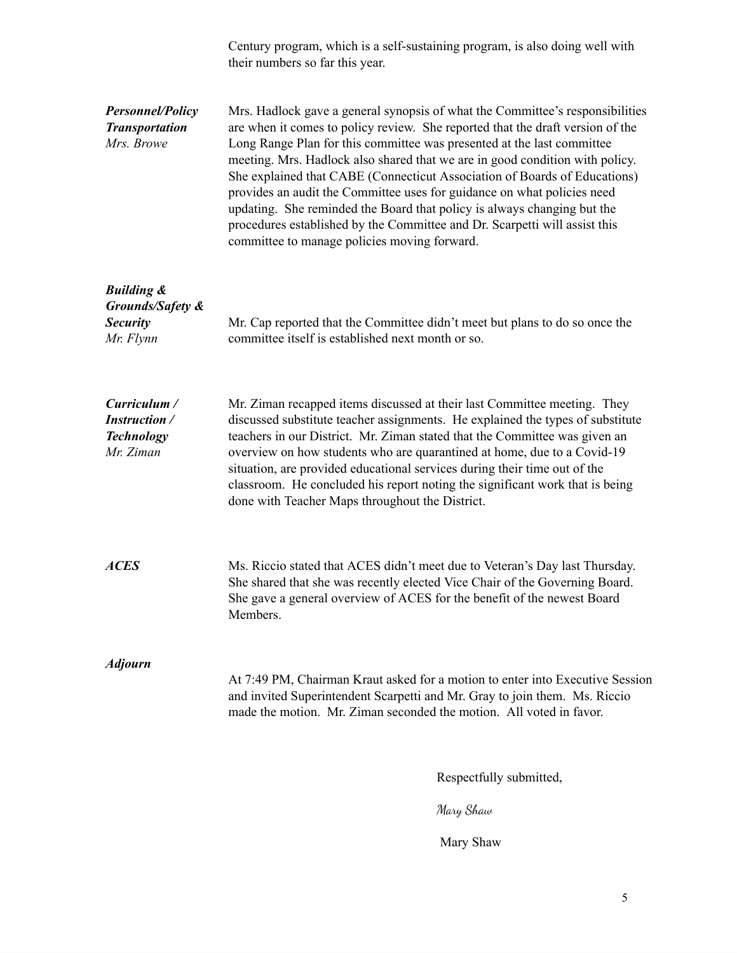Century program, which is a self-sustaining program, is also doing well with their numbers so far this year.

| <b>Personnel/Policy</b><br><b>Transportation</b><br>Mrs. Browe            | Mrs. Hadlock gave a general synopsis of what the Committee's responsibilities<br>are when it comes to policy review. She reported that the draft version of the<br>Long Range Plan for this committee was presented at the last committee<br>meeting. Mrs. Hadlock also shared that we are in good condition with policy.<br>She explained that CABE (Connecticut Association of Boards of Educations)<br>provides an audit the Committee uses for guidance on what policies need<br>updating. She reminded the Board that policy is always changing but the<br>procedures established by the Committee and Dr. Scarpetti will assist this<br>committee to manage policies moving forward. |                         |
|---------------------------------------------------------------------------|--------------------------------------------------------------------------------------------------------------------------------------------------------------------------------------------------------------------------------------------------------------------------------------------------------------------------------------------------------------------------------------------------------------------------------------------------------------------------------------------------------------------------------------------------------------------------------------------------------------------------------------------------------------------------------------------|-------------------------|
| <b>Building &amp;</b><br>Grounds/Safety &<br><b>Security</b><br>Mr. Flynn | Mr. Cap reported that the Committee didn't meet but plans to do so once the<br>committee itself is established next month or so.                                                                                                                                                                                                                                                                                                                                                                                                                                                                                                                                                           |                         |
| Curriculum /<br><b>Instruction</b> /<br><b>Technology</b><br>Mr. Ziman    | Mr. Ziman recapped items discussed at their last Committee meeting. They<br>discussed substitute teacher assignments. He explained the types of substitute<br>teachers in our District. Mr. Ziman stated that the Committee was given an<br>overview on how students who are quarantined at home, due to a Covid-19<br>situation, are provided educational services during their time out of the<br>classroom. He concluded his report noting the significant work that is being<br>done with Teacher Maps throughout the District.                                                                                                                                                        |                         |
| <b>ACES</b>                                                               | Ms. Riccio stated that ACES didn't meet due to Veteran's Day last Thursday.<br>She shared that she was recently elected Vice Chair of the Governing Board.<br>She gave a general overview of ACES for the benefit of the newest Board<br>Members.                                                                                                                                                                                                                                                                                                                                                                                                                                          |                         |
| <b>Adjourn</b>                                                            | At 7:49 PM, Chairman Kraut asked for a motion to enter into Executive Session<br>and invited Superintendent Scarpetti and Mr. Gray to join them. Ms. Riccio<br>made the motion. Mr. Ziman seconded the motion. All voted in favor.                                                                                                                                                                                                                                                                                                                                                                                                                                                         |                         |
|                                                                           |                                                                                                                                                                                                                                                                                                                                                                                                                                                                                                                                                                                                                                                                                            | Respectfully submitted, |
|                                                                           |                                                                                                                                                                                                                                                                                                                                                                                                                                                                                                                                                                                                                                                                                            | Mary Shaw               |

Mary Shaw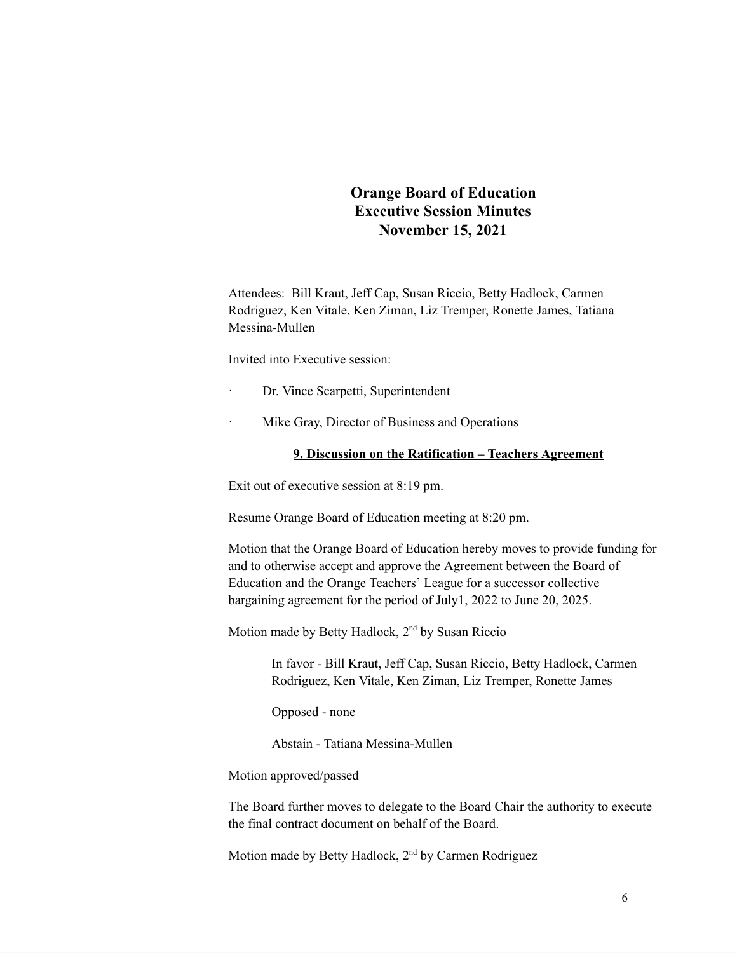## **Orange Board of Education Executive Session Minutes November 15, 2021**

Attendees: Bill Kraut, Jeff Cap, Susan Riccio, Betty Hadlock, Carmen Rodriguez, Ken Vitale, Ken Ziman, Liz Tremper, Ronette James, Tatiana Messina-Mullen

Invited into Executive session:

- Dr. Vince Scarpetti, Superintendent
- · Mike Gray, Director of Business and Operations

#### **9. Discussion on the Ratification – Teachers Agreement**

Exit out of executive session at 8:19 pm.

Resume Orange Board of Education meeting at 8:20 pm.

Motion that the Orange Board of Education hereby moves to provide funding for and to otherwise accept and approve the Agreement between the Board of Education and the Orange Teachers' League for a successor collective bargaining agreement for the period of July1, 2022 to June 20, 2025.

Motion made by Betty Hadlock, 2<sup>nd</sup> by Susan Riccio

In favor - Bill Kraut, Jeff Cap, Susan Riccio, Betty Hadlock, Carmen Rodriguez, Ken Vitale, Ken Ziman, Liz Tremper, Ronette James

Opposed - none

Abstain - Tatiana Messina-Mullen

Motion approved/passed

The Board further moves to delegate to the Board Chair the authority to execute the final contract document on behalf of the Board.

Motion made by Betty Hadlock, 2<sup>nd</sup> by Carmen Rodriguez